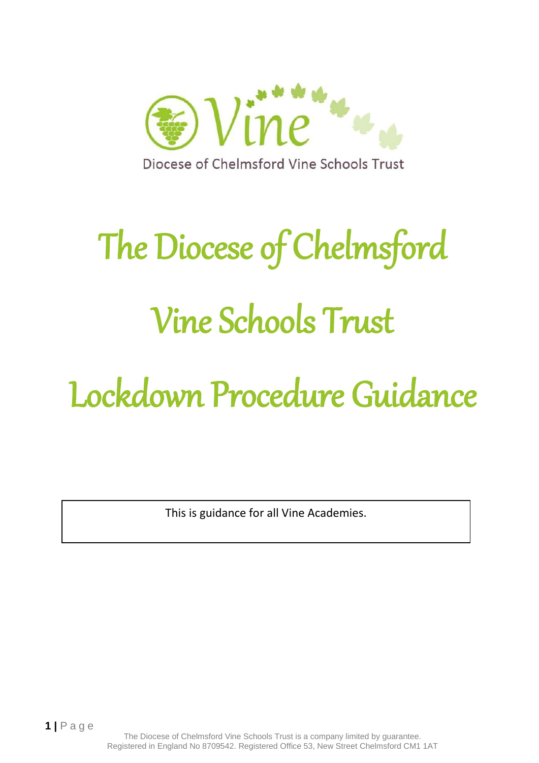

# The Diocese of Chelmsford Vine Schools Trust

## Lockdown Procedure Guidance

This is guidance for all Vine Academies.

The Diocese of Chelmsford Vine Schools Trust is a company limited by guarantee. Registered in England No 8709542. Registered Office 53, New Street Chelmsford CM1 1AT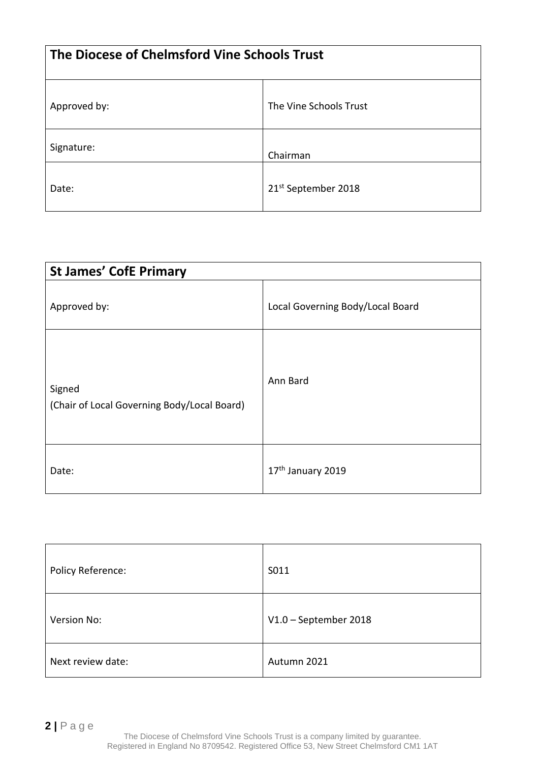| The Diocese of Chelmsford Vine Schools Trust |                        |  |
|----------------------------------------------|------------------------|--|
| Approved by:                                 | The Vine Schools Trust |  |
| Signature:                                   | Chairman               |  |
| Date:                                        | 21st September 2018    |  |

| <b>St James' CofE Primary</b>                         |                                  |  |
|-------------------------------------------------------|----------------------------------|--|
| Approved by:                                          | Local Governing Body/Local Board |  |
| Signed<br>(Chair of Local Governing Body/Local Board) | Ann Bard                         |  |
| Date:                                                 | 17 <sup>th</sup> January 2019    |  |

| Policy Reference: | S011                    |
|-------------------|-------------------------|
| Version No:       | $V1.0$ – September 2018 |
| Next review date: | Autumn 2021             |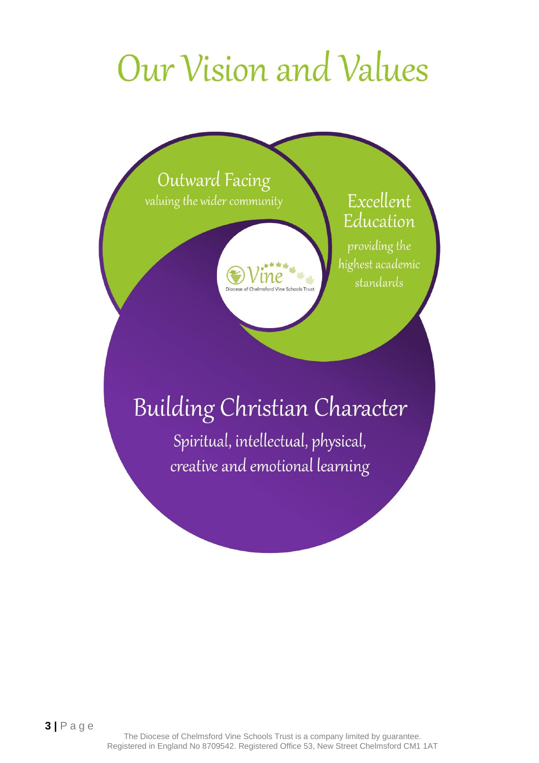### Our Vision and Values





Excellent Education

providing the highest academic standards

### **Building Christian Character**

Spiritual, intellectual, physical, creative and emotional learning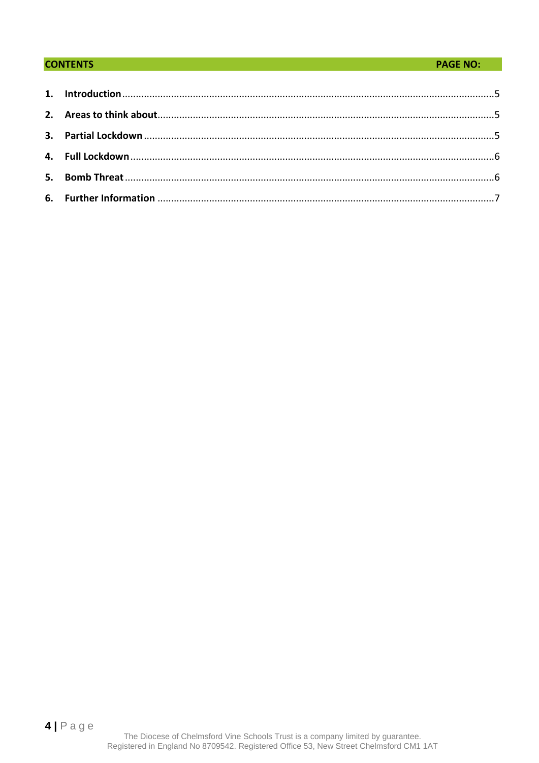#### **CONTENTS**

#### **PAGE NO:**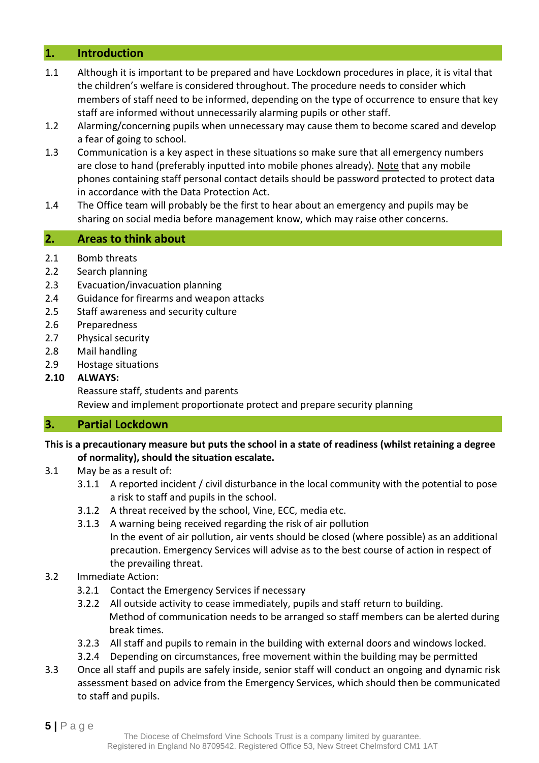#### <span id="page-4-0"></span>**1. Introduction**

- 1.1 Although it is important to be prepared and have Lockdown procedures in place, it is vital that the children's welfare is considered throughout. The procedure needs to consider which members of staff need to be informed, depending on the type of occurrence to ensure that key staff are informed without unnecessarily alarming pupils or other staff.
- 1.2 Alarming/concerning pupils when unnecessary may cause them to become scared and develop a fear of going to school.
- 1.3 Communication is a key aspect in these situations so make sure that all emergency numbers are close to hand (preferably inputted into mobile phones already). Note that any mobile phones containing staff personal contact details should be password protected to protect data in accordance with the Data Protection Act.
- 1.4 The Office team will probably be the first to hear about an emergency and pupils may be sharing on social media before management know, which may raise other concerns.

#### <span id="page-4-1"></span>**2. Areas to think about**

- 2.1 Bomb threats
- 2.2 Search planning
- 2.3 Evacuation/invacuation planning
- 2.4 Guidance for firearms and weapon attacks
- 2.5 Staff awareness and security culture
- 2.6 Preparedness
- 2.7 Physical security
- 2.8 Mail handling
- 2.9 Hostage situations

#### **2.10 ALWAYS:**

Reassure staff, students and parents Review and implement proportionate protect and prepare security planning

#### <span id="page-4-2"></span>**3. Partial Lockdown**

#### **This is a precautionary measure but puts the school in a state of readiness (whilst retaining a degree of normality), should the situation escalate.**

- 3.1 May be as a result of:
	- 3.1.1 A reported incident / civil disturbance in the local community with the potential to pose a risk to staff and pupils in the school.
	- 3.1.2 A threat received by the school, Vine, ECC, media etc.
	- 3.1.3 A warning being received regarding the risk of air pollution In the event of air pollution, air vents should be closed (where possible) as an additional precaution. Emergency Services will advise as to the best course of action in respect of the prevailing threat.

#### 3.2 Immediate Action:

- 3.2.1 Contact the Emergency Services if necessary
- 3.2.2 All outside activity to cease immediately, pupils and staff return to building. Method of communication needs to be arranged so staff members can be alerted during break times.
- 3.2.3 All staff and pupils to remain in the building with external doors and windows locked.
- 3.2.4 Depending on circumstances, free movement within the building may be permitted
- 3.3 Once all staff and pupils are safely inside, senior staff will conduct an ongoing and dynamic risk assessment based on advice from the Emergency Services, which should then be communicated to staff and pupils.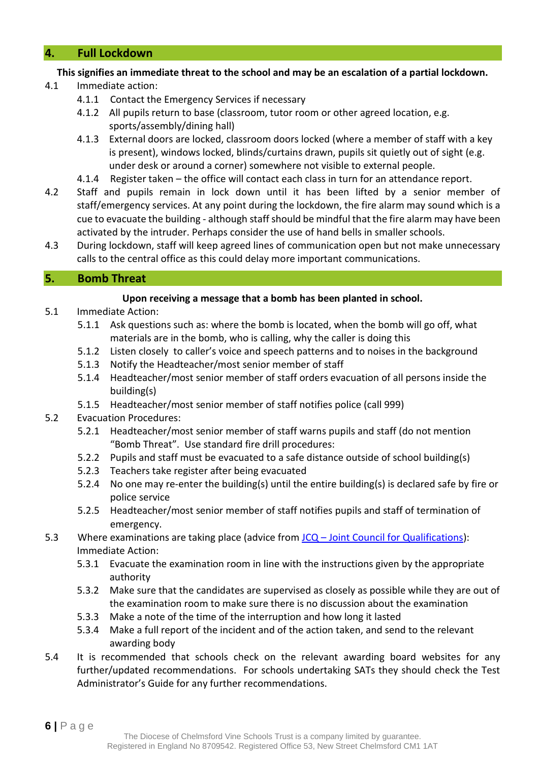#### <span id="page-5-0"></span>**4. Full Lockdown**

#### **This signifies an immediate threat to the school and may be an escalation of a partial lockdown.**

- 4.1 Immediate action:
	- 4.1.1 Contact the Emergency Services if necessary
	- 4.1.2 All pupils return to base (classroom, tutor room or other agreed location, e.g. sports/assembly/dining hall)
	- 4.1.3 External doors are locked, classroom doors locked (where a member of staff with a key is present), windows locked, blinds/curtains drawn, pupils sit quietly out of sight (e.g. under desk or around a corner) somewhere not visible to external people.
	- 4.1.4 Register taken the office will contact each class in turn for an attendance report.
- 4.2 Staff and pupils remain in lock down until it has been lifted by a senior member of staff/emergency services. At any point during the lockdown, the fire alarm may sound which is a cue to evacuate the building - although staff should be mindful that the fire alarm may have been activated by the intruder. Perhaps consider the use of hand bells in smaller schools.
- 4.3 During lockdown, staff will keep agreed lines of communication open but not make unnecessary calls to the central office as this could delay more important communications.

#### <span id="page-5-1"></span>**5. Bomb Threat**

#### **Upon receiving a message that a bomb has been planted in school.**

- 5.1 Immediate Action:
	- 5.1.1 Ask questions such as: where the bomb is located, when the bomb will go off, what materials are in the bomb, who is calling, why the caller is doing this
	- 5.1.2 Listen closely to caller's voice and speech patterns and to noises in the background
	- 5.1.3 Notify the Headteacher/most senior member of staff
	- 5.1.4 Headteacher/most senior member of staff orders evacuation of all persons inside the building(s)
	- 5.1.5 Headteacher/most senior member of staff notifies police (call 999)
- 5.2 Evacuation Procedures:
	- 5.2.1 Headteacher/most senior member of staff warns pupils and staff (do not mention "Bomb Threat". Use standard fire drill procedures:
	- 5.2.2 Pupils and staff must be evacuated to a safe distance outside of school building(s)
	- 5.2.3 Teachers take register after being evacuated
	- 5.2.4 No one may re-enter the building(s) until the entire building(s) is declared safe by fire or police service
	- 5.2.5 Headteacher/most senior member of staff notifies pupils and staff of termination of emergency.
- 5.3 Where examinations are taking place (advice from JCQ [Joint Council for Qualifications\)](http://qualifications.pearson.com/en/support/support-topics/exams/examination-guidance/conducting-exams.html): Immediate Action:
	- 5.3.1 Evacuate the examination room in line with the instructions given by the appropriate authority
	- 5.3.2 Make sure that the candidates are supervised as closely as possible while they are out of the examination room to make sure there is no discussion about the examination
	- 5.3.3 Make a note of the time of the interruption and how long it lasted
	- 5.3.4 Make a full report of the incident and of the action taken, and send to the relevant awarding body
- 5.4 It is recommended that schools check on the relevant awarding board websites for any further/updated recommendations. For schools undertaking SATs they should check the Test Administrator's Guide for any further recommendations.